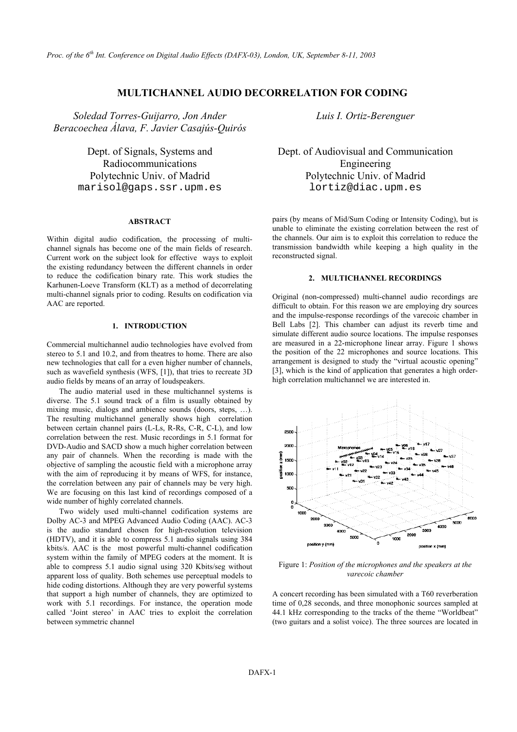# **MULTICHANNEL AUDIO DECORRELATION FOR CODING**

*Soledad Torres-Guijarro, Jon Ander Beracoechea Álava, F. Javier Casajús-Quirós* 

> Dept. of Signals, Systems and Radiocommunications

#### **ABSTRACT**

Within digital audio codification, the processing of multichannel signals has become one of the main fields of research. Current work on the subject look for effective ways to exploit the existing redundancy between the different channels in order to reduce the codification binary rate. This work studies the Karhunen-Loeve Transform (KLT) as a method of decorrelating multi-channel signals prior to coding. Results on codification via AAC are reported.

## **1. INTRODUCTION**

Commercial multichannel audio technologies have evolved from stereo to 5.1 and 10.2, and from theatres to home. There are also new technologies that call for a even higher number of channels, such as wavefield synthesis (WFS, [1]), that tries to recreate 3D audio fields by means of an array of loudspeakers.

The audio material used in these multichannel systems is diverse. The 5.1 sound track of a film is usually obtained by mixing music, dialogs and ambience sounds (doors, steps, …). The resulting multichannel generally shows high correlation between certain channel pairs (L-Ls, R-Rs, C-R, C-L), and low correlation between the rest. Music recordings in 5.1 format for DVD-Audio and SACD show a much higher correlation between any pair of channels. When the recording is made with the objective of sampling the acoustic field with a microphone array with the aim of reproducing it by means of WFS, for instance, the correlation between any pair of channels may be very high. We are focusing on this last kind of recordings composed of a wide number of highly correlated channels.

Two widely used multi-channel codification systems are Dolby AC-3 and MPEG Advanced Audio Coding (AAC). AC-3 is the audio standard chosen for high-resolution television (HDTV), and it is able to compress 5.1 audio signals using 384 kbits/s. AAC is the most powerful multi-channel codification system within the family of MPEG coders at the moment. It is able to compress 5.1 audio signal using 320 Kbits/seg without apparent loss of quality. Both schemes use perceptual models to hide coding distortions. Although they are very powerful systems that support a high number of channels, they are optimized to work with 5.1 recordings. For instance, the operation mode called 'Joint stereo' in AAC tries to exploit the correlation between symmetric channel

*Luis I. Ortiz-Berenguer* 

Dept. of Audiovisual and Communication Engineering Polytechnic Univ. of Madrid Polytechnic Univ. of Madrid marisol@gaps.ssr.upm.es lortiz@diac.upm.es

> pairs (by means of Mid/Sum Coding or Intensity Coding), but is unable to eliminate the existing correlation between the rest of the channels. Our aim is to exploit this correlation to reduce the transmission bandwidth while keeping a high quality in the reconstructed signal.

## **2. MULTICHANNEL RECORDINGS**

Original (non-compressed) multi-channel audio recordings are difficult to obtain. For this reason we are employing dry sources and the impulse-response recordings of the varecoic chamber in Bell Labs [2]. This chamber can adjust its reverb time and simulate different audio source locations. The impulse responses are measured in a 22-microphone linear array. Figure 1 shows the position of the 22 microphones and source locations. This arrangement is designed to study the "virtual acoustic opening" [3], which is the kind of application that generates a high orderhigh correlation multichannel we are interested in.



Figure 1: *Position of the microphones and the speakers at the varecoic chamber*

A concert recording has been simulated with a T60 reverberation time of 0,28 seconds, and three monophonic sources sampled at 44.1 kHz corresponding to the tracks of the theme "Worldbeat" (two guitars and a solist voice). The three sources are located in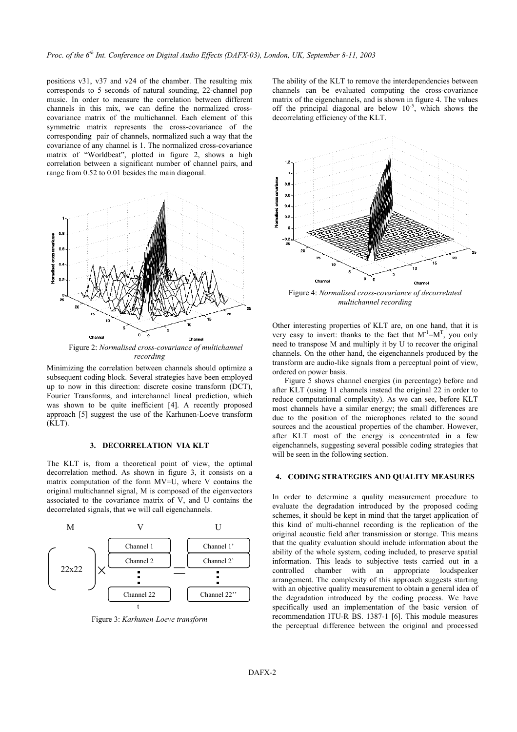positions v31, v37 and v24 of the chamber. The resulting mix corresponds to 5 seconds of natural sounding, 22-channel pop music. In order to measure the correlation between different channels in this mix, we can define the normalized crosscovariance matrix of the multichannel. Each element of this symmetric matrix represents the cross-covariance of the corresponding pair of channels, normalized such a way that the covariance of any channel is 1. The normalized cross-covariance matrix of "Worldbeat", plotted in figure 2, shows a high correlation between a significant number of channel pairs, and range from 0.52 to 0.01 besides the main diagonal.



*recording*

Minimizing the correlation between channels should optimize a subsequent coding block. Several strategies have been employed up to now in this direction: discrete cosine transform (DCT), Fourier Transforms, and interchannel lineal prediction, which was shown to be quite inefficient [4]. A recently proposed approach [5] suggest the use of the Karhunen-Loeve transform (KLT).

#### **3. DECORRELATION VIA KLT**

The KLT is, from a theoretical point of view, the optimal decorrelation method. As shown in figure 3, it consists on a matrix computation of the form MV=U, where V contains the original multichannel signal, M is composed of the eigenvectors associated to the covariance matrix of V, and U contains the decorrelated signals, that we will call eigenchannels.



Figure 3: *Karhunen-Loeve transform*

The ability of the KLT to remove the interdependencies between channels can be evaluated computing the cross-covariance matrix of the eigenchannels, and is shown in figure 4. The values off the principal diagonal are below  $10^{-5}$ , which shows the decorrelating efficiency of the KLT.



Figure 4: *Normalised cross-covariance of decorrelated multichannel recording* 

Other interesting properties of KLT are, on one hand, that it is very easy to invert: thanks to the fact that  $M^{-1} = M^{T}$ , you only need to transpose M and multiply it by U to recover the original channels. On the other hand, the eigenchannels produced by the transform are audio-like signals from a perceptual point of view, ordered on power basis.

Figure 5 shows channel energies (in percentage) before and after KLT (using 11 channels instead the original 22 in order to reduce computational complexity). As we can see, before KLT most channels have a similar energy; the small differences are due to the position of the microphones related to the sound sources and the acoustical properties of the chamber. However, after KLT most of the energy is concentrated in a few eigenchannels, suggesting several possible coding strategies that will be seen in the following section.

### **4. CODING STRATEGIES AND QUALITY MEASURES**

In order to determine a quality measurement procedure to evaluate the degradation introduced by the proposed coding schemes, it should be kept in mind that the target application of this kind of multi-channel recording is the replication of the original acoustic field after transmission or storage. This means that the quality evaluation should include information about the ability of the whole system, coding included, to preserve spatial information. This leads to subjective tests carried out in a controlled chamber with an appropriate loudspeaker arrangement. The complexity of this approach suggests starting with an objective quality measurement to obtain a general idea of the degradation introduced by the coding process. We have specifically used an implementation of the basic version of recommendation ITU-R BS. 1387-1 [6]. This module measures the perceptual difference between the original and processed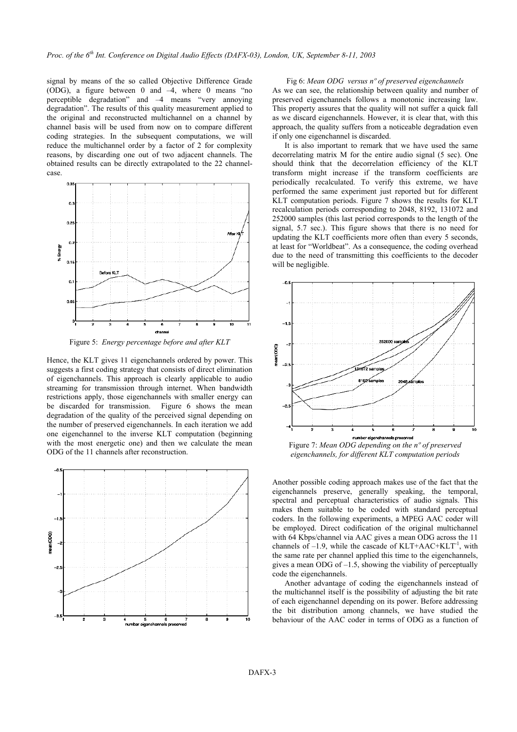signal by means of the so called Objective Difference Grade Fig 6: *Mean ODG versus n° of preserved eigenchannels* (ODG), a figure between 0 and –4, where 0 means "no perceptible degradation" and –4 means "very annoying degradation". The results of this quality measurement applied to the original and reconstructed multichannel on a channel by channel basis will be used from now on to compare different coding strategies. In the subsequent computations, we will reduce the multichannel order by a factor of 2 for complexity reasons, by discarding one out of two adjacent channels. The obtained results can be directly extrapolated to the 22 channelcase.



Figure 5: *Energy percentage before and after KLT* 

Hence, the KLT gives 11 eigenchannels ordered by power. This suggests a first coding strategy that consists of direct elimination of eigenchannels. This approach is clearly applicable to audio streaming for transmission through internet. When bandwidth restrictions apply, those eigenchannels with smaller energy can be discarded for transmission. Figure 6 shows the mean degradation of the quality of the perceived signal depending on the number of preserved eigenchannels. In each iteration we add one eigenchannel to the inverse KLT computation (beginning with the most energetic one) and then we calculate the mean with the most energetic one) and then we calculate the mean<br>ODG of the 11 channels after reconstruction.<br>*eigenchannels for different KLT computation periods* 



As we can see, the relationship between quality and number of preserved eigenchannels follows a monotonic increasing law. This property assures that the quality will not suffer a quick fall as we discard eigenchannels. However, it is clear that, with this approach, the quality suffers from a noticeable degradation even if only one eigenchannel is discarded.

It is also important to remark that we have used the same decorrelating matrix M for the entire audio signal (5 sec). One should think that the decorrelation efficiency of the KLT transform might increase if the transform coefficients are periodically recalculated. To verify this extreme, we have performed the same experiment just reported but for different KLT computation periods. Figure 7 shows the results for KLT recalculation periods corresponding to 2048, 8192, 131072 and 252000 samples (this last period corresponds to the length of the signal, 5.7 sec.). This figure shows that there is no need for updating the KLT coefficients more often than every 5 seconds, at least for "Worldbeat". As a consequence, the coding overhead due to the need of transmitting this coefficients to the decoder will be negligible.



*eigenchannels, for different KLT computation periods*

Another possible coding approach makes use of the fact that the eigenchannels preserve, generally speaking, the temporal, spectral and perceptual characteristics of audio signals. This makes them suitable to be coded with standard perceptual coders. In the following experiments, a MPEG AAC coder will be employed. Direct codification of the original multichannel with 64 Kbps/channel via AAC gives a mean ODG across the 11 channels of  $-1.9$ , while the cascade of KLT+AAC+KLT<sup>-1</sup>, with the same rate per channel applied this time to the eigenchannels, gives a mean ODG of  $-1.5$ , showing the viability of perceptually code the eigenchannels.

Another advantage of coding the eigenchannels instead of the multichannel itself is the possibility of adjusting the bit rate of each eigenchannel depending on its power. Before addressing the bit distribution among channels, we have studied the behaviour of the AAC coder in terms of ODG as a function of